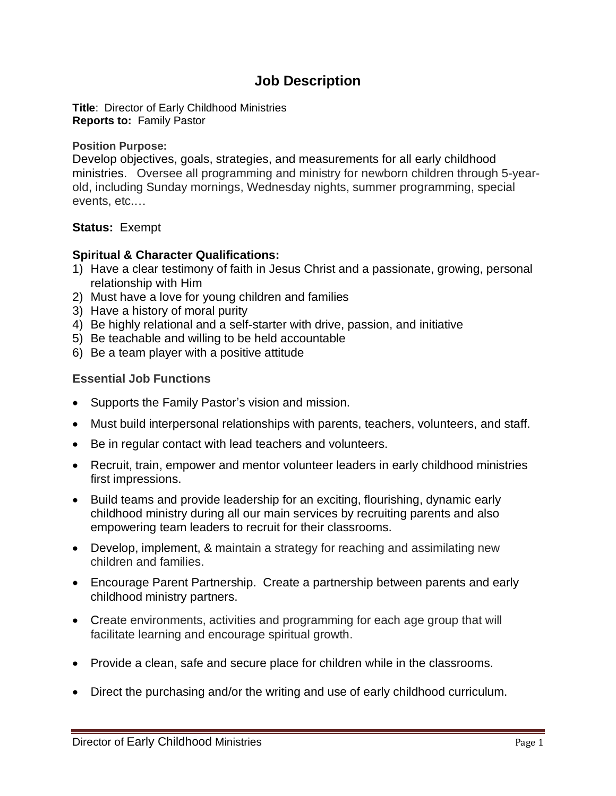## **Job Description**

**Title**: Director of Early Childhood Ministries **Reports to:** Family Pastor

**Position Purpose:**

Develop objectives, goals, strategies, and measurements for all early childhood ministries. Oversee all programming and ministry for newborn children through 5-yearold, including Sunday mornings, Wednesday nights, summer programming, special events, etc.…

## **Status:** Exempt

## **Spiritual & Character Qualifications:**

- 1) Have a clear testimony of faith in Jesus Christ and a passionate, growing, personal relationship with Him
- 2) Must have a love for young children and families
- 3) Have a history of moral purity
- 4) Be highly relational and a self-starter with drive, passion, and initiative
- 5) Be teachable and willing to be held accountable
- 6) Be a team player with a positive attitude

## **Essential Job Functions**

- Supports the Family Pastor's vision and mission.
- Must build interpersonal relationships with parents, teachers, volunteers, and staff.
- Be in regular contact with lead teachers and volunteers.
- Recruit, train, empower and mentor volunteer leaders in early childhood ministries first impressions.
- Build teams and provide leadership for an exciting, flourishing, dynamic early childhood ministry during all our main services by recruiting parents and also empowering team leaders to recruit for their classrooms.
- Develop, implement, & maintain a strategy for reaching and assimilating new children and families.
- Encourage Parent Partnership. Create a partnership between parents and early childhood ministry partners.
- Create environments, activities and programming for each age group that will facilitate learning and encourage spiritual growth.
- Provide a clean, safe and secure place for children while in the classrooms.
- Direct the purchasing and/or the writing and use of early childhood curriculum.